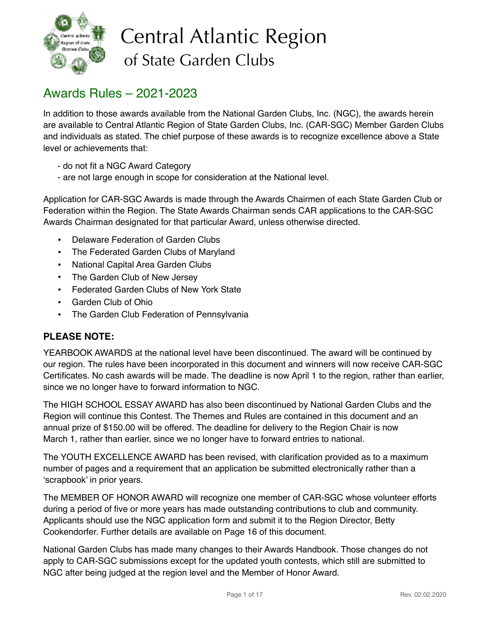

# Central Atlantic Region of State Garden Clubs

# Awards Rules – 2021-2023

In addition to those awards available from the National Garden Clubs, Inc. (NGC), the awards herein are available to Central Atlantic Region of State Garden Clubs, Inc. (CAR-SGC) Member Garden Clubs and individuals as stated. The chief purpose of these awards is to recognize excellence above a State level or achievements that:

- do not fit a NGC Award Category
- are not large enough in scope for consideration at the National level.

Application for CAR-SGC Awards is made through the Awards Chairmen of each State Garden Club or Federation within the Region. The State Awards Chairman sends CAR applications to the CAR-SGC Awards Chairman designated for that particular Award, unless otherwise directed.

- Delaware Federation of Garden Clubs
- The Federated Garden Clubs of Maryland
- National Capital Area Garden Clubs
- The Garden Club of New Jersey
- Federated Garden Clubs of New York State
- Garden Club of Ohio
- The Garden Club Federation of Pennsylvania

### **PLEASE NOTE:**

YEARBOOK AWARDS at the national level have been discontinued. The award will be continued by our region. The rules have been incorporated in this document and winners will now receive CAR-SGC Certificates. No cash awards will be made. The deadline is now April 1 to the region, rather than earlier, since we no longer have to forward information to NGC.

The HIGH SCHOOL ESSAY AWARD has also been discontinued by National Garden Clubs and the Region will continue this Contest. The Themes and Rules are contained in this document and an annual prize of \$150.00 will be offered. The deadline for delivery to the Region Chair is now March 1, rather than earlier, since we no longer have to forward entries to national.

The YOUTH EXCELLENCE AWARD has been revised, with clarification provided as to a maximum number of pages and a requirement that an application be submitted electronically rather than a 'scrapbook' in prior years.

The MEMBER OF HONOR AWARD will recognize one member of CAR-SGC whose volunteer efforts during a period of five or more years has made outstanding contributions to club and community. Applicants should use the NGC application form and submit it to the Region Director, Betty Cookendorfer. Further details are available on Page 16 of this document.

National Garden Clubs has made many changes to their Awards Handbook. Those changes do not apply to CAR-SGC submissions except for the updated youth contests, which still are submitted to NGC after being judged at the region level and the Member of Honor Award.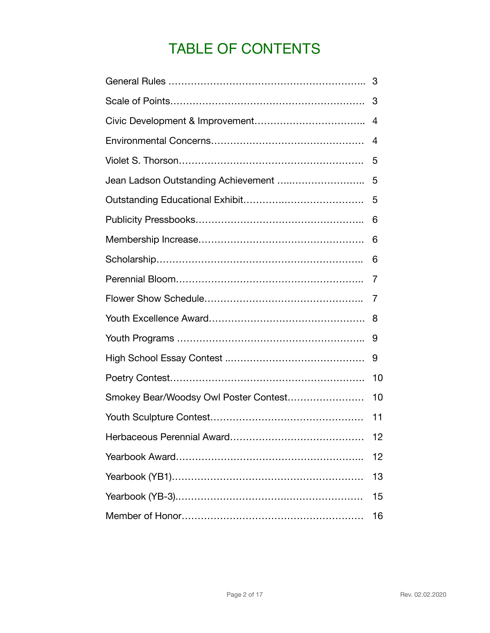# TABLE OF CONTENTS

|                                       | 4  |
|---------------------------------------|----|
|                                       | 4  |
|                                       | 5  |
|                                       | 5  |
|                                       | 5  |
|                                       | 6  |
|                                       | 6  |
|                                       | 6  |
|                                       | 7  |
|                                       | 7  |
|                                       | 8  |
|                                       | 9  |
|                                       | 9  |
|                                       | 10 |
| Smokey Bear/Woodsy Owl Poster Contest | 10 |
|                                       | 11 |
|                                       | 12 |
|                                       | 12 |
|                                       | 13 |
|                                       | 15 |
|                                       | 16 |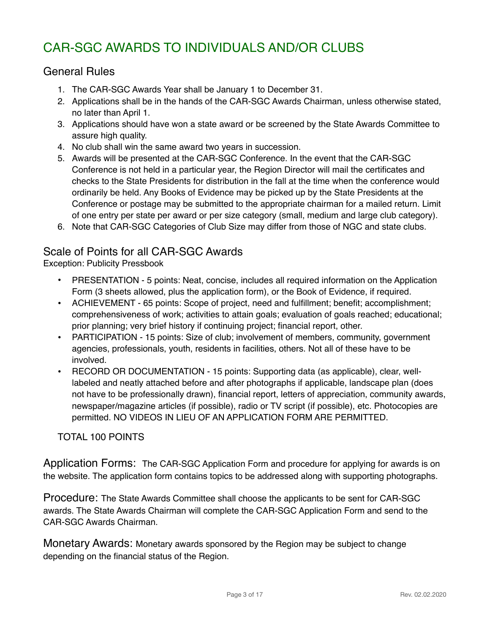# CAR-SGC AWARDS TO INDIVIDUALS AND/OR CLUBS

### General Rules

- 1. The CAR-SGC Awards Year shall be January 1 to December 31.
- 2. Applications shall be in the hands of the CAR-SGC Awards Chairman, unless otherwise stated, no later than April 1.
- 3. Applications should have won a state award or be screened by the State Awards Committee to assure high quality.
- 4. No club shall win the same award two years in succession.
- 5. Awards will be presented at the CAR-SGC Conference. In the event that the CAR-SGC Conference is not held in a particular year, the Region Director will mail the certificates and checks to the State Presidents for distribution in the fall at the time when the conference would ordinarily be held. Any Books of Evidence may be picked up by the State Presidents at the Conference or postage may be submitted to the appropriate chairman for a mailed return. Limit of one entry per state per award or per size category (small, medium and large club category).
- 6. Note that CAR-SGC Categories of Club Size may differ from those of NGC and state clubs.

### Scale of Points for all CAR-SGC Awards

Exception: Publicity Pressbook

- PRESENTATION 5 points: Neat, concise, includes all required information on the Application Form (3 sheets allowed, plus the application form), or the Book of Evidence, if required.
- ACHIEVEMENT 65 points: Scope of project, need and fulfillment; benefit; accomplishment; comprehensiveness of work; activities to attain goals; evaluation of goals reached; educational; prior planning; very brief history if continuing project; financial report, other.
- PARTICIPATION 15 points: Size of club; involvement of members, community, government agencies, professionals, youth, residents in facilities, others. Not all of these have to be involved.
- RECORD OR DOCUMENTATION 15 points: Supporting data (as applicable), clear, welllabeled and neatly attached before and after photographs if applicable, landscape plan (does not have to be professionally drawn), financial report, letters of appreciation, community awards, newspaper/magazine articles (if possible), radio or TV script (if possible), etc. Photocopies are permitted. NO VIDEOS IN LIEU OF AN APPLICATION FORM ARE PERMITTED.

### TOTAL 100 POINTS

Application Forms: The CAR-SGC Application Form and procedure for applying for awards is on the website. The application form contains topics to be addressed along with supporting photographs.

Procedure: The State Awards Committee shall choose the applicants to be sent for CAR-SGC awards. The State Awards Chairman will complete the CAR-SGC Application Form and send to the CAR-SGC Awards Chairman.

Monetary Awards: Monetary awards sponsored by the Region may be subject to change depending on the financial status of the Region.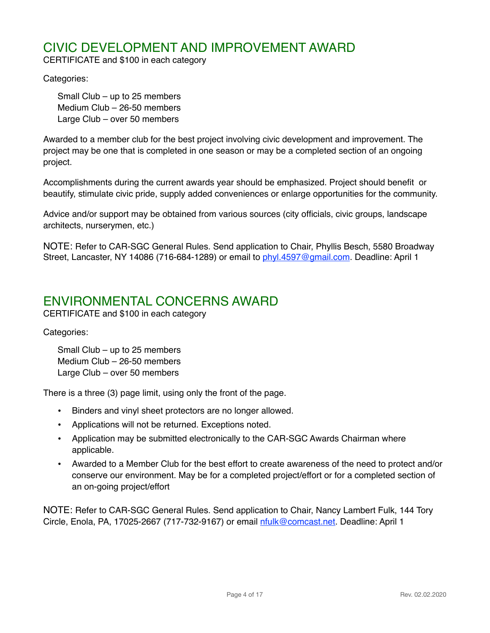# CIVIC DEVELOPMENT AND IMPROVEMENT AWARD

CERTIFICATE and \$100 in each category

Categories:

Small Club – up to 25 members Medium Club – 26-50 members Large Club – over 50 members

Awarded to a member club for the best project involving civic development and improvement. The project may be one that is completed in one season or may be a completed section of an ongoing project.

Accomplishments during the current awards year should be emphasized. Project should benefit or beautify, stimulate civic pride, supply added conveniences or enlarge opportunities for the community.

Advice and/or support may be obtained from various sources (city officials, civic groups, landscape architects, nurserymen, etc.)

NOTE: Refer to CAR-SGC General Rules. Send application to Chair, Phyllis Besch, 5580 Broadway Street, Lancaster, NY 14086 (716-684-1289) or email to [phyl.4597@gmail.com](mailto:phyl.4597@gmail.com). Deadline: April 1

### ENVIRONMENTAL CONCERNS AWARD

CERTIFICATE and \$100 in each category

Categories:

Small Club – up to 25 members Medium Club – 26-50 members Large Club – over 50 members

There is a three (3) page limit, using only the front of the page.

- Binders and vinyl sheet protectors are no longer allowed.
- Applications will not be returned. Exceptions noted.
- Application may be submitted electronically to the CAR-SGC Awards Chairman where applicable.
- Awarded to a Member Club for the best effort to create awareness of the need to protect and/or conserve our environment. May be for a completed project/effort or for a completed section of an on-going project/effort

NOTE: Refer to CAR-SGC General Rules. Send application to Chair, Nancy Lambert Fulk, 144 Tory Circle, Enola, PA, 17025-2667 (717-732-9167) or email *nfulk@comcast.net*. Deadline: April 1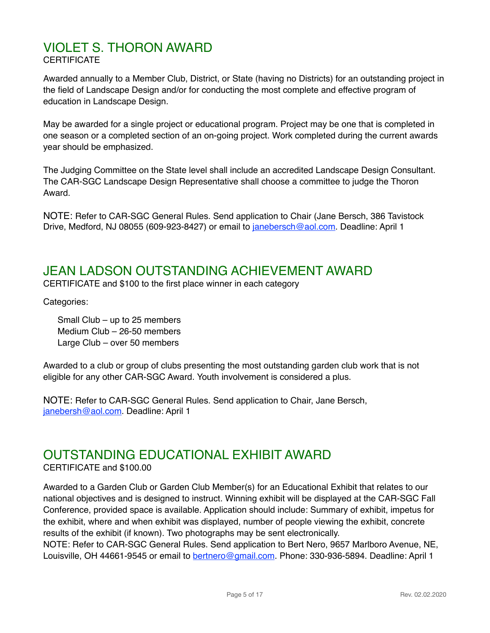### VIOLET S. THORON AWARD **CERTIFICATE**

Awarded annually to a Member Club, District, or State (having no Districts) for an outstanding project in the field of Landscape Design and/or for conducting the most complete and effective program of education in Landscape Design.

May be awarded for a single project or educational program. Project may be one that is completed in one season or a completed section of an on-going project. Work completed during the current awards year should be emphasized.

The Judging Committee on the State level shall include an accredited Landscape Design Consultant. The CAR-SGC Landscape Design Representative shall choose a committee to judge the Thoron Award.

NOTE: Refer to CAR-SGC General Rules. Send application to Chair (Jane Bersch, 386 Tavistock Drive, Medford, NJ 08055 (609-923-8427) or email to [janebersch@aol.com](mailto:janebersch@aol.com). Deadline: April 1

# JEAN LADSON OUTSTANDING ACHIEVEMENT AWARD

CERTIFICATE and \$100 to the first place winner in each category

Categories:

Small Club – up to 25 members Medium Club – 26-50 members Large Club – over 50 members

Awarded to a club or group of clubs presenting the most outstanding garden club work that is not eligible for any other CAR-SGC Award. Youth involvement is considered a plus.

NOTE: Refer to CAR-SGC General Rules. Send application to Chair, Jane Bersch[,](mailto:no_reply@apple.com) [janebersh@aol.com.](mailto:no_reply@apple.com) Deadline: April 1

# OUTSTANDING EDUCATIONAL EXHIBIT AWARD

CERTIFICATE and \$100.00

Awarded to a Garden Club or Garden Club Member(s) for an Educational Exhibit that relates to our national objectives and is designed to instruct. Winning exhibit will be displayed at the CAR-SGC Fall Conference, provided space is available. Application should include: Summary of exhibit, impetus for the exhibit, where and when exhibit was displayed, number of people viewing the exhibit, concrete results of the exhibit (if known). Two photographs may be sent electronically.

NOTE: Refer to CAR-SGC General Rules. Send application to Bert Nero, 9657 Marlboro Avenue, NE, Louisville, OH 44661-9545 or email to [bertnero@gmail.com](mailto:bertnero@gmail.com). Phone: 330-936-5894. Deadline: April 1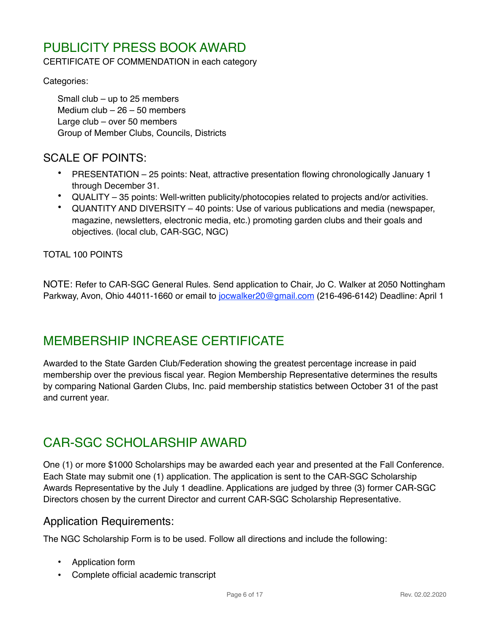# PUBLICITY PRESS BOOK AWARD

CERTIFICATE OF COMMENDATION in each category

Categories:

Small club – up to 25 members Medium club – 26 – 50 members Large club – over 50 members Group of Member Clubs, Councils, Districts

### SCALE OF POINTS:

- PRESENTATION 25 points: Neat, attractive presentation flowing chronologically January 1 through December 31.
- QUALITY 35 points: Well-written publicity/photocopies related to projects and/or activities.
- QUANTITY AND DIVERSITY 40 points: Use of various publications and media (newspaper, magazine, newsletters, electronic media, etc.) promoting garden clubs and their goals and objectives. (local club, CAR-SGC, NGC)

TOTAL 100 POINTS

NOTE: Refer to CAR-SGC General Rules. Send application to Chair, Jo C. Walker at 2050 Nottingham Parkway, Avon, Ohio 44011-1660 or email to jocwalker 20@gmail.com (216-496-6142) Deadline: April 1

# MEMBERSHIP INCREASE CERTIFICATE

Awarded to the State Garden Club/Federation showing the greatest percentage increase in paid membership over the previous fiscal year. Region Membership Representative determines the results by comparing National Garden Clubs, Inc. paid membership statistics between October 31 of the past and current year.

# CAR-SGC SCHOLARSHIP AWARD

One (1) or more \$1000 Scholarships may be awarded each year and presented at the Fall Conference. Each State may submit one (1) application. The application is sent to the CAR-SGC Scholarship Awards Representative by the July 1 deadline. Applications are judged by three (3) former CAR-SGC Directors chosen by the current Director and current CAR-SGC Scholarship Representative.

### Application Requirements:

The NGC Scholarship Form is to be used. Follow all directions and include the following:

- Application form
- Complete official academic transcript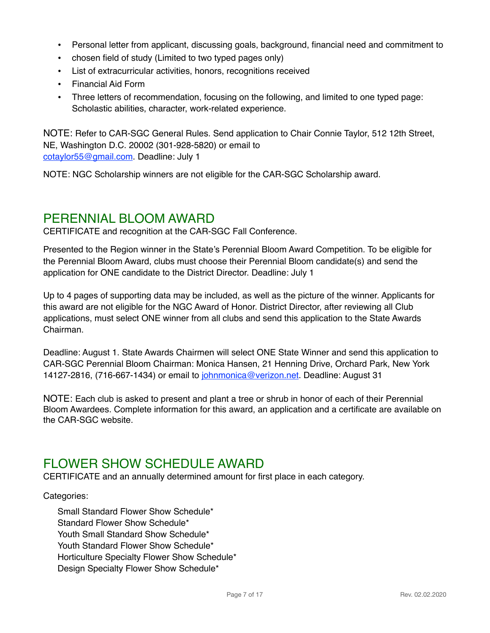- Personal letter from applicant, discussing goals, background, financial need and commitment to
- chosen field of study (Limited to two typed pages only)
- List of extracurricular activities, honors, recognitions received
- Financial Aid Form
- Three letters of recommendation, focusing on the following, and limited to one typed page: Scholastic abilities, character, work-related experience.

NOTE: Refer to CAR-SGC General Rules. Send application to Chair Connie Taylor, 512 12th Street, NE, Washington D.C. 20002 (301-928-5820) or email to [cotaylor55@gmail.com](mailto:cotaylor55@gmail.com). Deadline: July 1

NOTE: NGC Scholarship winners are not eligible for the CAR-SGC Scholarship award.

### PERENNIAL BLOOM AWARD

CERTIFICATE and recognition at the CAR-SGC Fall Conference.

Presented to the Region winner in the State's Perennial Bloom Award Competition. To be eligible for the Perennial Bloom Award, clubs must choose their Perennial Bloom candidate(s) and send the application for ONE candidate to the District Director. Deadline: July 1

Up to 4 pages of supporting data may be included, as well as the picture of the winner. Applicants for this award are not eligible for the NGC Award of Honor. District Director, after reviewing all Club applications, must select ONE winner from all clubs and send this application to the State Awards Chairman.

Deadline: August 1. State Awards Chairmen will select ONE State Winner and send this application to CAR-SGC Perennial Bloom Chairman: Monica Hansen, 21 Henning Drive, Orchard Park, New York 14127-2816, (716-667-1434) or email to [johnmonica@verizon.net](mailto:johnmonica@verizon.net). Deadline: August 31

NOTE: Each club is asked to present and plant a tree or shrub in honor of each of their Perennial Bloom Awardees. Complete information for this award, an application and a certificate are available on the CAR-SGC website.

# FLOWER SHOW SCHEDULE AWARD

CERTIFICATE and an annually determined amount for first place in each category.

#### Categories:

Small Standard Flower Show Schedule\* Standard Flower Show Schedule\* Youth Small Standard Show Schedule\* Youth Standard Flower Show Schedule\* Horticulture Specialty Flower Show Schedule\* Design Specialty Flower Show Schedule\*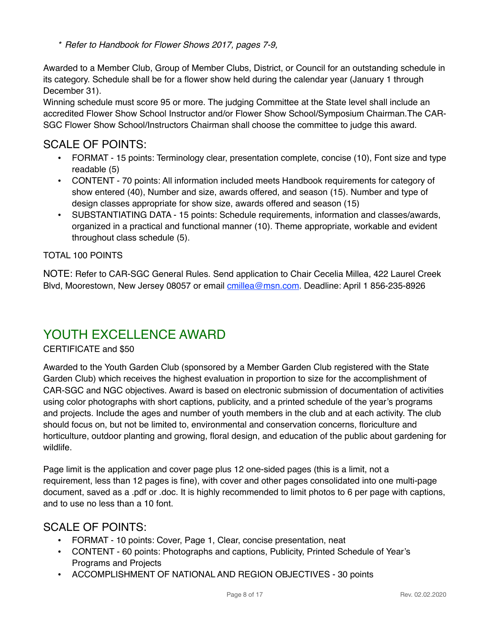*\* Refer to Handbook for Flower Shows 2017, pages 7-9,*

Awarded to a Member Club, Group of Member Clubs, District, or Council for an outstanding schedule in its category. Schedule shall be for a flower show held during the calendar year (January 1 through December 31).

Winning schedule must score 95 or more. The judging Committee at the State level shall include an accredited Flower Show School Instructor and/or Flower Show School/Symposium Chairman.The CAR-SGC Flower Show School/Instructors Chairman shall choose the committee to judge this award.

### SCALE OF POINTS:

- FORMAT 15 points: Terminology clear, presentation complete, concise (10), Font size and type readable (5)
- CONTENT 70 points: All information included meets Handbook requirements for category of show entered (40), Number and size, awards offered, and season (15). Number and type of design classes appropriate for show size, awards offered and season (15)
- SUBSTANTIATING DATA 15 points: Schedule requirements, information and classes/awards, organized in a practical and functional manner (10). Theme appropriate, workable and evident throughout class schedule (5).

### TOTAL 100 POINTS

NOTE: Refer to CAR-SGC General Rules. Send application to Chair Cecelia Millea, 422 Laurel Creek Blvd, Moorestown, New Jersey 08057 or email [cmillea@msn.com.](mailto:cmillea@msn.com) Deadline: April 1 856-235-8926

# YOUTH EXCELLENCE AWARD

### CERTIFICATE and \$50

Awarded to the Youth Garden Club (sponsored by a Member Garden Club registered with the State Garden Club) which receives the highest evaluation in proportion to size for the accomplishment of CAR-SGC and NGC objectives. Award is based on electronic submission of documentation of activities using color photographs with short captions, publicity, and a printed schedule of the year's programs and projects. Include the ages and number of youth members in the club and at each activity. The club should focus on, but not be limited to, environmental and conservation concerns, floriculture and horticulture, outdoor planting and growing, floral design, and education of the public about gardening for wildlife.

Page limit is the application and cover page plus 12 one-sided pages (this is a limit, not a requirement, less than 12 pages is fine), with cover and other pages consolidated into one multi-page document, saved as a .pdf or .doc. It is highly recommended to limit photos to 6 per page with captions, and to use no less than a 10 font.

### SCALE OF POINTS:

- FORMAT 10 points: Cover, Page 1, Clear, concise presentation, neat
- CONTENT 60 points: Photographs and captions, Publicity, Printed Schedule of Year's Programs and Projects
- ACCOMPLISHMENT OF NATIONAL AND REGION OBJECTIVES 30 points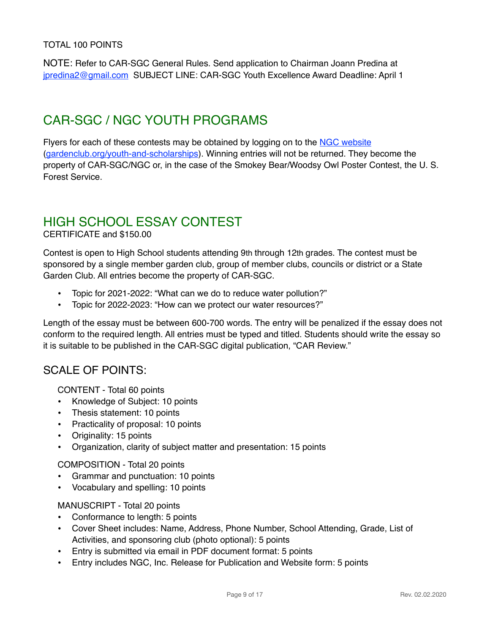#### TOTAL 100 POINTS

NOTE: Refer to CAR-SGC General Rules. Send application to Chairman Joann Predina at [jpredina2@gmail.com](mailto:jpredina2@gmail.com) SUBJECT LINE: CAR-SGC Youth Excellence Award Deadline: April 1

# CAR-SGC / NGC YOUTH PROGRAMS

Flyers for each of these contests may be obtained by logging on to the [NGC website](https://www.gardenclub.org/youth-and-scholarships) ([gardenclub.org/youth-and-scholarships\)](http://gardenclub.org/youth-and-scholarships). Winning entries will not be returned. They become the property of CAR-SGC/NGC or, in the case of the Smokey Bear/Woodsy Owl Poster Contest, the U. S. Forest Service.

# HIGH SCHOOL ESSAY CONTEST

#### CERTIFICATE and \$150.00

Contest is open to High School students attending 9th through 12th grades. The contest must be sponsored by a single member garden club, group of member clubs, councils or district or a State Garden Club. All entries become the property of CAR-SGC.

- Topic for 2021-2022: "What can we do to reduce water pollution?"
- Topic for 2022-2023: "How can we protect our water resources?"

Length of the essay must be between 600-700 words. The entry will be penalized if the essay does not conform to the required length. All entries must be typed and titled. Students should write the essay so it is suitable to be published in the CAR-SGC digital publication, "CAR Review."

### SCALE OF POINTS:

CONTENT - Total 60 points

- Knowledge of Subject: 10 points
- Thesis statement: 10 points
- Practicality of proposal: 10 points
- Originality: 15 points
- Organization, clarity of subject matter and presentation: 15 points

COMPOSITION - Total 20 points

- Grammar and punctuation: 10 points
- Vocabulary and spelling: 10 points

#### MANUSCRIPT - Total 20 points

- Conformance to length: 5 points
- Cover Sheet includes: Name, Address, Phone Number, School Attending, Grade, List of Activities, and sponsoring club (photo optional): 5 points
- Entry is submitted via email in PDF document format: 5 points
- Entry includes NGC, Inc. Release for Publication and Website form: 5 points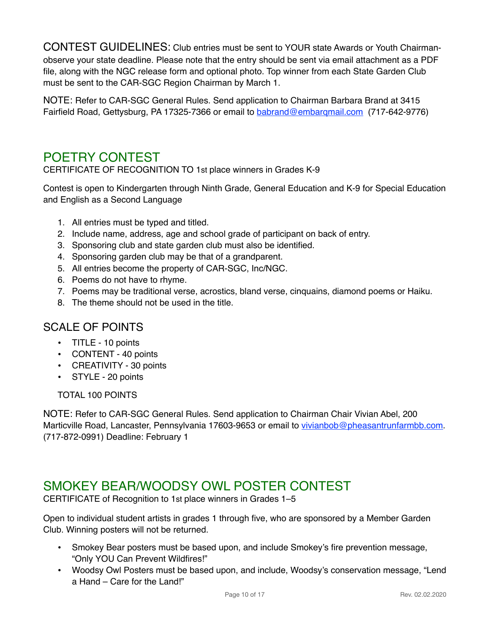CONTEST GUIDELINES: Club entries must be sent to YOUR state Awards or Youth Chairmanobserve your state deadline. Please note that the entry should be sent via email attachment as a PDF file, along with the NGC release form and optional photo. Top winner from each State Garden Club must be sent to the CAR-SGC Region Chairman by March 1.

NOTE: Refer to CAR-SGC General Rules. Send application to Chairman Barbara Brand at 3415 Fairfield Road, Gettysburg, PA 17325-7366 or email to [babrand@embarqmail.com](mailto:babrand@embarqmail.com) (717-642-9776)

# POETRY CONTEST

CERTIFICATE OF RECOGNITION TO 1st place winners in Grades K-9

Contest is open to Kindergarten through Ninth Grade, General Education and K-9 for Special Education and English as a Second Language

- 1. All entries must be typed and titled.
- 2. Include name, address, age and school grade of participant on back of entry.
- 3. Sponsoring club and state garden club must also be identified.
- 4. Sponsoring garden club may be that of a grandparent.
- 5. All entries become the property of CAR-SGC, Inc/NGC.
- 6. Poems do not have to rhyme.
- 7. Poems may be traditional verse, acrostics, bland verse, cinquains, diamond poems or Haiku.
- 8. The theme should not be used in the title.

### SCALE OF POINTS

- TITLE 10 points
- CONTENT 40 points
- CREATIVITY 30 points
- STYLE 20 points

TOTAL 100 POINTS

NOTE: Refer to CAR-SGC General Rules. Send application to Chairman Chair Vivian Abel, 200 Marticville Road, Lancaster, Pennsylvania 17603-9653 or email to [vivianbob@pheasantrunfarmbb.com.](mailto:vivianbob@pheasantrunfarmbb.com) (717-872-0991) Deadline: February 1

# SMOKEY BEAR/WOODSY OWL POSTER CONTEST

CERTIFICATE of Recognition to 1st place winners in Grades 1–5

Open to individual student artists in grades 1 through five, who are sponsored by a Member Garden Club. Winning posters will not be returned.

- Smokey Bear posters must be based upon, and include Smokey's fire prevention message, "Only YOU Can Prevent Wildfires!"
- Woodsy Owl Posters must be based upon, and include, Woodsy's conservation message, "Lend a Hand – Care for the Land!"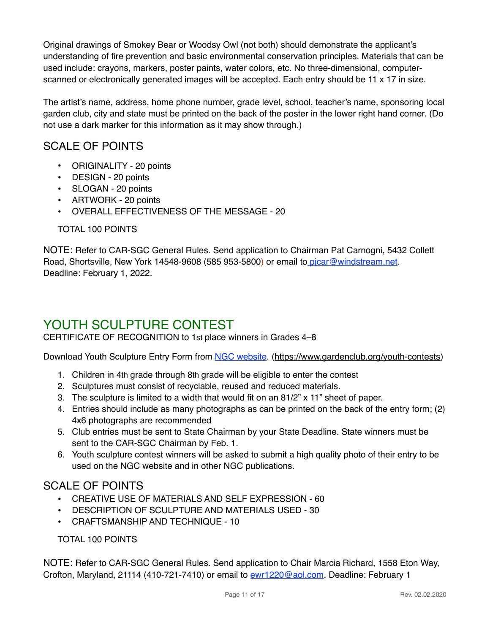Original drawings of Smokey Bear or Woodsy Owl (not both) should demonstrate the applicant's understanding of fire prevention and basic environmental conservation principles. Materials that can be used include: crayons, markers, poster paints, water colors, etc. No three-dimensional, computerscanned or electronically generated images will be accepted. Each entry should be 11 x 17 in size.

The artist's name, address, home phone number, grade level, school, teacher's name, sponsoring local garden club, city and state must be printed on the back of the poster in the lower right hand corner. (Do not use a dark marker for this information as it may show through.)

### SCALE OF POINTS

- ORIGINALITY 20 points
- DESIGN 20 points
- SLOGAN 20 points
- ARTWORK 20 points
- OVERALL EFFECTIVENESS OF THE MESSAGE 20

### TOTAL 100 POINTS

NOTE: Refer to CAR-SGC General Rules. Send application to Chairman Pat Carnogni, 5432 Collett Road, Shortsville, New York 14548-9608 (585 953-5800) or email to picar@windstream.net. Deadline: February 1, 2022.

# YOUTH SCULPTURE CONTEST

CERTIFICATE OF RECOGNITION to 1st place winners in Grades 4–8

Download Youth Sculpture Entry Form from [NGC website](https://www.gardenclub.org/youth-contests). [\(https://www.gardenclub.org/youth-contests](https://www.gardenclub.org/youth-contests))

- 1. Children in 4th grade through 8th grade will be eligible to enter the contest
- 2. Sculptures must consist of recyclable, reused and reduced materials.
- 3. The sculpture is limited to a width that would fit on an 81/2" x 11" sheet of paper.
- 4. Entries should include as many photographs as can be printed on the back of the entry form; (2) 4x6 photographs are recommended
- 5. Club entries must be sent to State Chairman by your State Deadline. State winners must be sent to the CAR-SGC Chairman by Feb. 1.
- 6. Youth sculpture contest winners will be asked to submit a high quality photo of their entry to be used on the NGC website and in other NGC publications.

### SCALE OF POINTS

- CREATIVE USE OF MATERIALS AND SELF EXPRESSION 60
- DESCRIPTION OF SCULPTURE AND MATERIALS USED 30
- CRAFTSMANSHIP AND TECHNIQUE 10

TOTAL 100 POINTS

NOTE: Refer to CAR-SGC General Rules. Send application to Chair Marcia Richard, 1558 Eton Way, Crofton, Maryland, 21114 (410-721-7410) or email to [ewr1220@aol.com.](mailto:ewr1220@aol.com) Deadline: February 1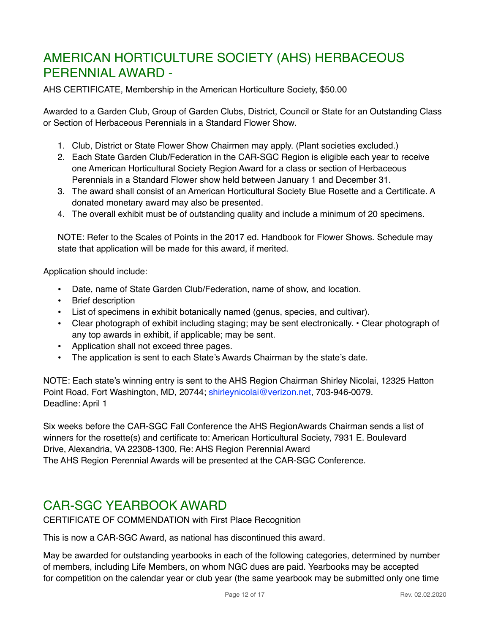# AMERICAN HORTICULTURE SOCIETY (AHS) HERBACEOUS PERENNIAL AWARD -

AHS CERTIFICATE, Membership in the American Horticulture Society, \$50.00

Awarded to a Garden Club, Group of Garden Clubs, District, Council or State for an Outstanding Class or Section of Herbaceous Perennials in a Standard Flower Show.

- 1. Club, District or State Flower Show Chairmen may apply. (Plant societies excluded.)
- 2. Each State Garden Club/Federation in the CAR-SGC Region is eligible each year to receive one American Horticultural Society Region Award for a class or section of Herbaceous Perennials in a Standard Flower show held between January 1 and December 31.
- 3. The award shall consist of an American Horticultural Society Blue Rosette and a Certificate. A donated monetary award may also be presented.
- 4. The overall exhibit must be of outstanding quality and include a minimum of 20 specimens.

NOTE: Refer to the Scales of Points in the 2017 ed. Handbook for Flower Shows. Schedule may state that application will be made for this award, if merited.

Application should include:

- Date, name of State Garden Club/Federation, name of show, and location.
- Brief description
- List of specimens in exhibit botanically named (genus, species, and cultivar).
- Clear photograph of exhibit including staging; may be sent electronically. Clear photograph of any top awards in exhibit, if applicable; may be sent.
- Application shall not exceed three pages.
- The application is sent to each State's Awards Chairman by the state's date.

NOTE: Each state's winning entry is sent to the AHS Region Chairman Shirley Nicolai, 12325 Hatton Point Road, Fort Washington, MD, 20744; [shirleynicolai@verizon.net,](mailto:shirleynicolai@verizon.net) 703-946-0079. Deadline: April 1

Six weeks before the CAR-SGC Fall Conference the AHS RegionAwards Chairman sends a list of winners for the rosette(s) and certificate to: American Horticultural Society, 7931 E. Boulevard Drive, Alexandria, VA 22308-1300, Re: AHS Region Perennial Award The AHS Region Perennial Awards will be presented at the CAR-SGC Conference.

# CAR-SGC YEARBOOK AWARD

CERTIFICATE OF COMMENDATION with First Place Recognition

This is now a CAR-SGC Award, as national has discontinued this award.

May be awarded for outstanding yearbooks in each of the following categories, determined by number of members, including Life Members, on whom NGC dues are paid. Yearbooks may be accepted for competition on the calendar year or club year (the same yearbook may be submitted only one time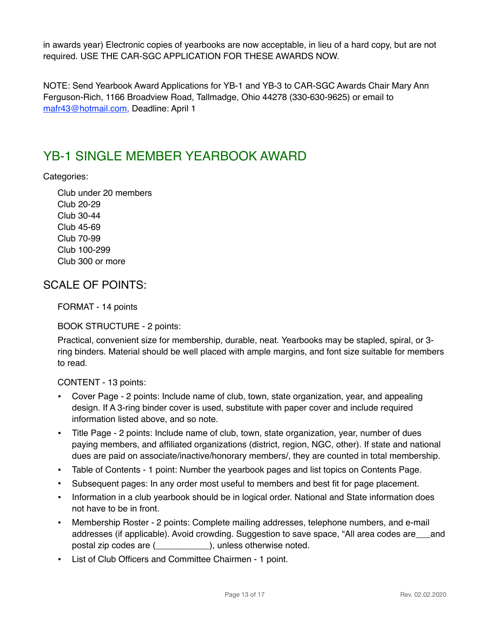in awards year) Electronic copies of yearbooks are now acceptable, in lieu of a hard copy, but are not required. USE THE CAR-SGC APPLICATION FOR THESE AWARDS NOW.

NOTE: Send Yearbook Award Applications for YB-1 and YB-3 to CAR-SGC Awards Chair Mary Ann Ferguson-Rich, 1166 Broadview Road, Tallmadge, Ohio 44278 (330-630-9625) or email to [mafr43@hotmail.com,](mailto:mafr43@hotmail.com) Deadline: April 1

# YB-1 SINGLE MEMBER YEARBOOK AWARD

Categories:

Club under 20 members Club 20-29 Club 30-44 Club 45-69 Club 70-99 Club 100-299 Club 300 or more

### SCALE OF POINTS:

FORMAT - 14 points

BOOK STRUCTURE - 2 points:

Practical, convenient size for membership, durable, neat. Yearbooks may be stapled, spiral, or 3 ring binders. Material should be well placed with ample margins, and font size suitable for members to read.

CONTENT - 13 points:

- Cover Page 2 points: Include name of club, town, state organization, year, and appealing design. If A 3-ring binder cover is used, substitute with paper cover and include required information listed above, and so note.
- Title Page 2 points: Include name of club, town, state organization, year, number of dues paying members, and affiliated organizations (district, region, NGC, other). If state and national dues are paid on associate/inactive/honorary members/, they are counted in total membership.
- Table of Contents 1 point: Number the yearbook pages and list topics on Contents Page.
- Subsequent pages: In any order most useful to members and best fit for page placement.
- Information in a club yearbook should be in logical order. National and State information does not have to be in front.
- Membership Roster 2 points: Complete mailing addresses, telephone numbers, and e-mail addresses (if applicable). Avoid crowding. Suggestion to save space, "All area codes are\_\_\_and postal zip codes are (\_\_\_\_\_\_\_\_\_\_\_), unless otherwise noted.
- List of Club Officers and Committee Chairmen 1 point.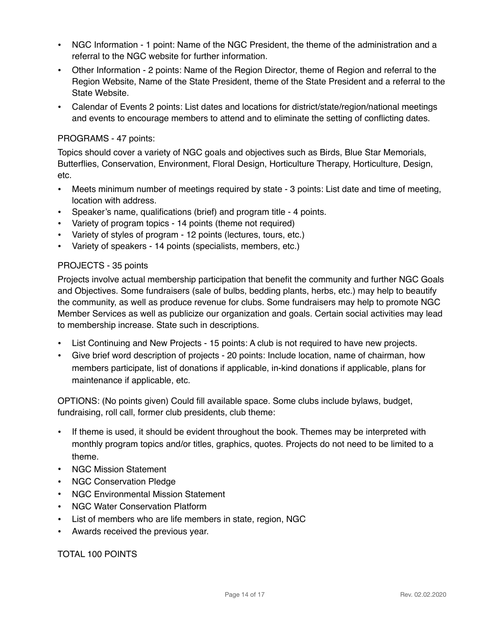- NGC Information 1 point: Name of the NGC President, the theme of the administration and a referral to the NGC website for further information.
- Other Information 2 points: Name of the Region Director, theme of Region and referral to the Region Website, Name of the State President, theme of the State President and a referral to the State Website.
- Calendar of Events 2 points: List dates and locations for district/state/region/national meetings and events to encourage members to attend and to eliminate the setting of conflicting dates.

#### PROGRAMS - 47 points:

Topics should cover a variety of NGC goals and objectives such as Birds, Blue Star Memorials, Butterflies, Conservation, Environment, Floral Design, Horticulture Therapy, Horticulture, Design, etc.

- Meets minimum number of meetings required by state 3 points: List date and time of meeting, location with address.
- Speaker's name, qualifications (brief) and program title 4 points.
- Variety of program topics 14 points (theme not required)
- Variety of styles of program 12 points (lectures, tours, etc.)
- Variety of speakers 14 points (specialists, members, etc.)

#### PROJECTS - 35 points

Projects involve actual membership participation that benefit the community and further NGC Goals and Objectives. Some fundraisers (sale of bulbs, bedding plants, herbs, etc.) may help to beautify the community, as well as produce revenue for clubs. Some fundraisers may help to promote NGC Member Services as well as publicize our organization and goals. Certain social activities may lead to membership increase. State such in descriptions.

- List Continuing and New Projects 15 points: A club is not required to have new projects.
- Give brief word description of projects 20 points: Include location, name of chairman, how members participate, list of donations if applicable, in-kind donations if applicable, plans for maintenance if applicable, etc.

OPTIONS: (No points given) Could fill available space. Some clubs include bylaws, budget, fundraising, roll call, former club presidents, club theme:

- If theme is used, it should be evident throughout the book. Themes may be interpreted with monthly program topics and/or titles, graphics, quotes. Projects do not need to be limited to a theme.
- NGC Mission Statement
- NGC Conservation Pledge
- NGC Environmental Mission Statement
- NGC Water Conservation Platform
- List of members who are life members in state, region, NGC
- Awards received the previous year.

TOTAL 100 POINTS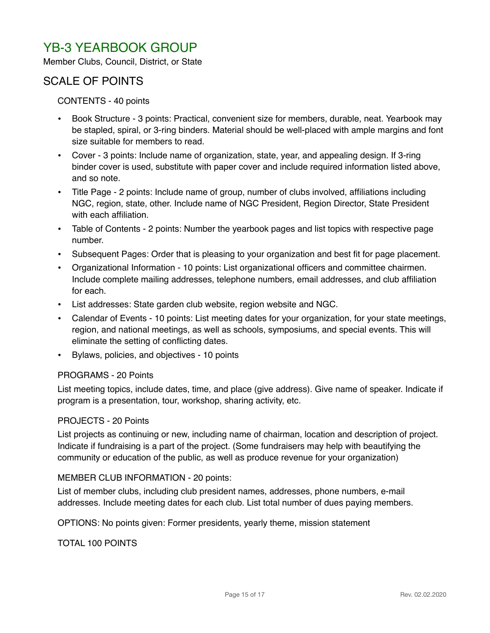# YB-3 YEARBOOK GROUP

Member Clubs, Council, District, or State

### SCALE OF POINTS

#### CONTENTS - 40 points

- Book Structure 3 points: Practical, convenient size for members, durable, neat. Yearbook may be stapled, spiral, or 3-ring binders. Material should be well-placed with ample margins and font size suitable for members to read.
- Cover 3 points: Include name of organization, state, year, and appealing design. If 3-ring binder cover is used, substitute with paper cover and include required information listed above, and so note.
- Title Page 2 points: Include name of group, number of clubs involved, affiliations including NGC, region, state, other. Include name of NGC President, Region Director, State President with each affiliation.
- Table of Contents 2 points: Number the yearbook pages and list topics with respective page number.
- Subsequent Pages: Order that is pleasing to your organization and best fit for page placement.
- Organizational Information 10 points: List organizational officers and committee chairmen. Include complete mailing addresses, telephone numbers, email addresses, and club affiliation for each.
- List addresses: State garden club website, region website and NGC.
- Calendar of Events 10 points: List meeting dates for your organization, for your state meetings, region, and national meetings, as well as schools, symposiums, and special events. This will eliminate the setting of conflicting dates.
- Bylaws, policies, and objectives 10 points

#### PROGRAMS - 20 Points

List meeting topics, include dates, time, and place (give address). Give name of speaker. Indicate if program is a presentation, tour, workshop, sharing activity, etc.

#### PROJECTS - 20 Points

List projects as continuing or new, including name of chairman, location and description of project. Indicate if fundraising is a part of the project. (Some fundraisers may help with beautifying the community or education of the public, as well as produce revenue for your organization)

#### MEMBER CLUB INFORMATION - 20 points:

List of member clubs, including club president names, addresses, phone numbers, e-mail addresses. Include meeting dates for each club. List total number of dues paying members.

OPTIONS: No points given: Former presidents, yearly theme, mission statement

TOTAL 100 POINTS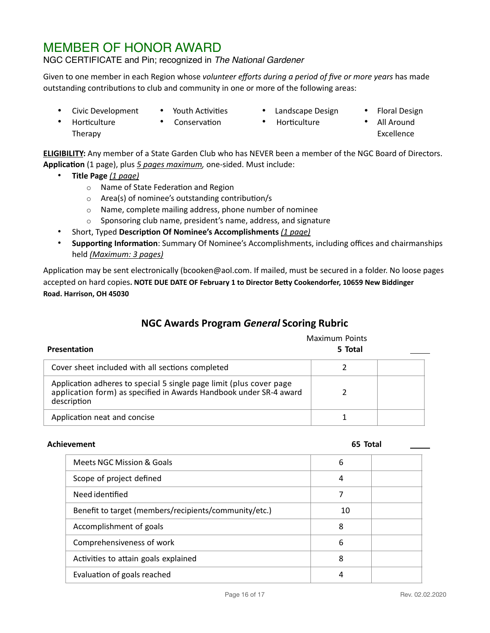# MEMBER OF HONOR AWARD

#### NGC CERTIFICATE and Pin; recognized in *The National Gardener*

Given to one member in each Region whose *volunteer efforts during a period of five or more years* has made outstanding contributions to club and community in one or more of the following areas:

- Civic Development
- Youth Activities
- Landscape Design
- Floral Design
- Horticulture Therapy
- Conservation
- Horticulture
- All Around Excellence

**ELIGIBILITY:** Any member of a State Garden Club who has NEVER been a member of the NGC Board of Directors. **Application** (1 page), plus *5 pages maximum,* one-sided. Must include:

- **Title Page** *(1 page)*
	- o Name of State Federation and Region
	- o Area(s) of nominee's outstanding contribution/s
	- o Name, complete mailing address, phone number of nominee
	- o Sponsoring club name, president's name, address, and signature
- Short, Typed **Description Of Nominee's Accomplishments** *(1 page)*
- **Supporting Information**: Summary Of Nominee's Accomplishments, including offices and chairmanships held *(Maximum: 3 pages)*

Application may be sent electronically (bcooken@aol.com. If mailed, must be secured in a folder. No loose pages accepted on hard copies**. NOTE DUE DATE OF February 1 to Director Betty Cookendorfer, 10659 New Biddinger Road. Harrison, OH 45030**

### **NGC Awards Program** *General* **Scoring Rubric**

| <b>Presentation</b>                                                                                                                                      | <b>Maximum Points</b><br>5 Total |  |
|----------------------------------------------------------------------------------------------------------------------------------------------------------|----------------------------------|--|
| Cover sheet included with all sections completed                                                                                                         |                                  |  |
| Application adheres to special 5 single page limit (plus cover page<br>application form) as specified in Awards Handbook under SR-4 award<br>description |                                  |  |
| Application neat and concise                                                                                                                             |                                  |  |

#### **Achievement 65 Total**

| Meets NGC Mission & Goals                             | 6  |  |
|-------------------------------------------------------|----|--|
| Scope of project defined                              | 4  |  |
| Need identified                                       |    |  |
| Benefit to target (members/recipients/community/etc.) | 10 |  |
| Accomplishment of goals                               | 8  |  |
| Comprehensiveness of work                             | 6  |  |
| Activities to attain goals explained                  | 8  |  |
| Evaluation of goals reached                           |    |  |